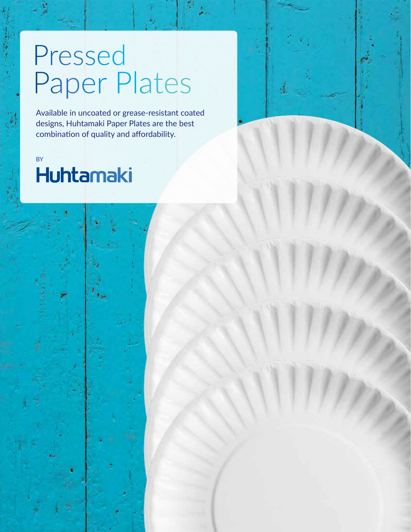## Pressed Paper Plates

Available in uncoated or grease-resistant coated designs, Huhtamaki Paper Plates are the best combination of quality and affordability.

## **Huhtamaki**